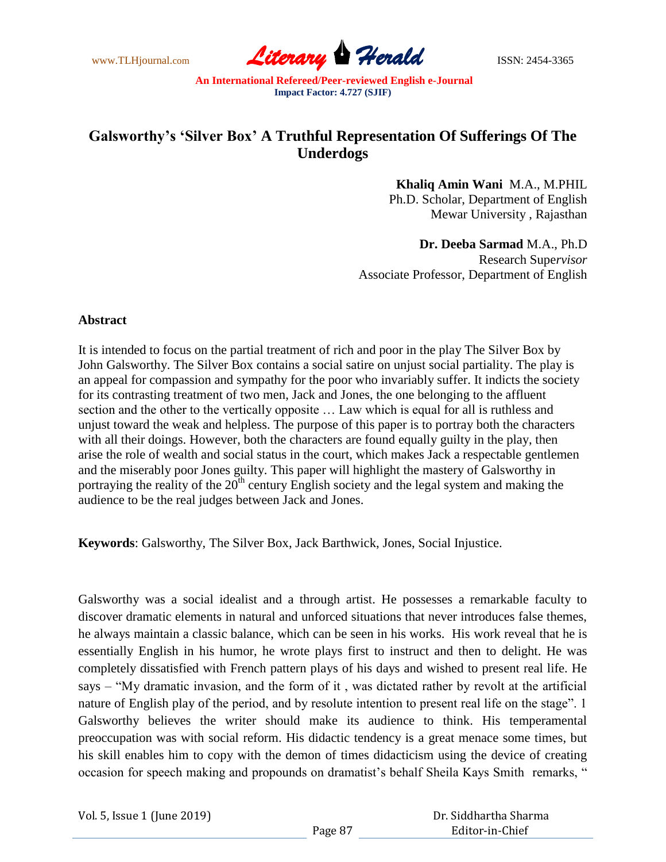

## **Galsworthy's 'Silver Box' A Truthful Representation Of Sufferings Of The Underdogs**

**Khaliq Amin Wani** M.A., M.PHIL Ph.D. Scholar, Department of English Mewar University , Rajasthan

**Dr. Deeba Sarmad** M.A., Ph.D Research Supe*rvisor* Associate Professor, Department of English

## **Abstract**

It is intended to focus on the partial treatment of rich and poor in the play The Silver Box by John Galsworthy. The Silver Box contains a social satire on unjust social partiality. The play is an appeal for compassion and sympathy for the poor who invariably suffer. It indicts the society for its contrasting treatment of two men, Jack and Jones, the one belonging to the affluent section and the other to the vertically opposite … Law which is equal for all is ruthless and unjust toward the weak and helpless. The purpose of this paper is to portray both the characters with all their doings. However, both the characters are found equally guilty in the play, then arise the role of wealth and social status in the court, which makes Jack a respectable gentlemen and the miserably poor Jones guilty. This paper will highlight the mastery of Galsworthy in portraying the reality of the  $20<sup>th</sup>$  century English society and the legal system and making the audience to be the real judges between Jack and Jones.

**Keywords**: Galsworthy, The Silver Box, Jack Barthwick, Jones, Social Injustice.

Galsworthy was a social idealist and a through artist. He possesses a remarkable faculty to discover dramatic elements in natural and unforced situations that never introduces false themes, he always maintain a classic balance, which can be seen in his works. His work reveal that he is essentially English in his humor, he wrote plays first to instruct and then to delight. He was completely dissatisfied with French pattern plays of his days and wished to present real life. He says – "My dramatic invasion, and the form of it , was dictated rather by revolt at the artificial nature of English play of the period, and by resolute intention to present real life on the stage". 1 Galsworthy believes the writer should make its audience to think. His temperamental preoccupation was with social reform. His didactic tendency is a great menace some times, but his skill enables him to copy with the demon of times didacticism using the device of creating occasion for speech making and propounds on dramatist's behalf Sheila Kays Smith remarks, "

Vol. 5, Issue 1 (June 2019)

 Dr. Siddhartha Sharma Editor-in-Chief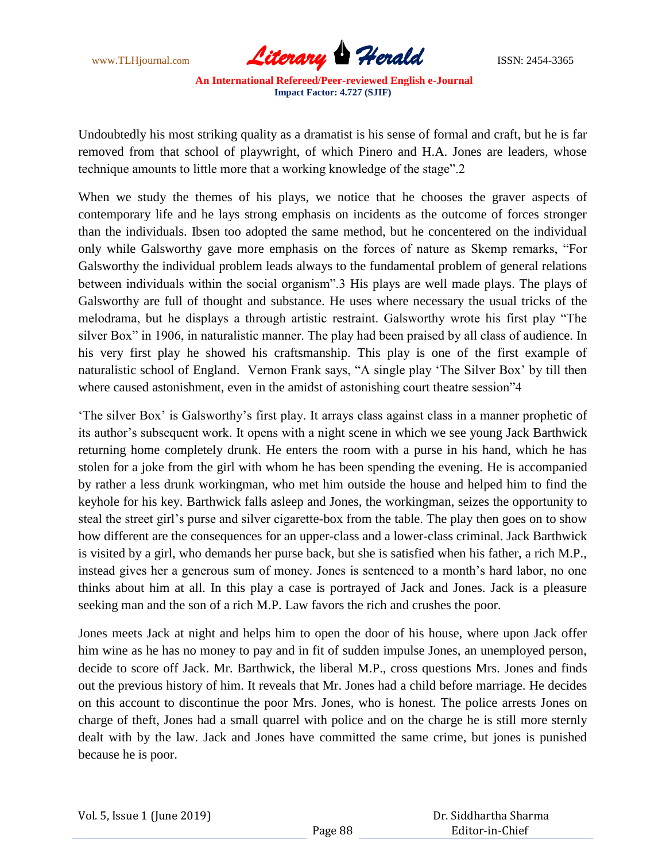

Undoubtedly his most striking quality as a dramatist is his sense of formal and craft, but he is far removed from that school of playwright, of which Pinero and H.A. Jones are leaders, whose technique amounts to little more that a working knowledge of the stage".2

When we study the themes of his plays, we notice that he chooses the graver aspects of contemporary life and he lays strong emphasis on incidents as the outcome of forces stronger than the individuals. Ibsen too adopted the same method, but he concentered on the individual only while Galsworthy gave more emphasis on the forces of nature as Skemp remarks, "For Galsworthy the individual problem leads always to the fundamental problem of general relations between individuals within the social organism".3 His plays are well made plays. The plays of Galsworthy are full of thought and substance. He uses where necessary the usual tricks of the melodrama, but he displays a through artistic restraint. Galsworthy wrote his first play "The silver Box" in 1906, in naturalistic manner. The play had been praised by all class of audience. In his very first play he showed his craftsmanship. This play is one of the first example of naturalistic school of England. Vernon Frank says, "A single play "The Silver Box" by till then where caused astonishment, even in the amidst of astonishing court theatre session"4

"The silver Box" is Galsworthy"s first play. It arrays class against class in a manner prophetic of its author"s subsequent work. It opens with a night scene in which we see young Jack Barthwick returning home completely drunk. He enters the room with a purse in his hand, which he has stolen for a joke from the girl with whom he has been spending the evening. He is accompanied by rather a less drunk workingman, who met him outside the house and helped him to find the keyhole for his key. Barthwick falls asleep and Jones, the workingman, seizes the opportunity to steal the street girl"s purse and silver cigarette-box from the table. The play then goes on to show how different are the consequences for an upper-class and a lower-class criminal. Jack Barthwick is visited by a girl, who demands her purse back, but she is satisfied when his father, a rich M.P., instead gives her a generous sum of money. Jones is sentenced to a month"s hard labor, no one thinks about him at all. In this play a case is portrayed of Jack and Jones. Jack is a pleasure seeking man and the son of a rich M.P. Law favors the rich and crushes the poor.

Jones meets Jack at night and helps him to open the door of his house, where upon Jack offer him wine as he has no money to pay and in fit of sudden impulse Jones, an unemployed person, decide to score off Jack. Mr. Barthwick, the liberal M.P., cross questions Mrs. Jones and finds out the previous history of him. It reveals that Mr. Jones had a child before marriage. He decides on this account to discontinue the poor Mrs. Jones, who is honest. The police arrests Jones on charge of theft, Jones had a small quarrel with police and on the charge he is still more sternly dealt with by the law. Jack and Jones have committed the same crime, but jones is punished because he is poor.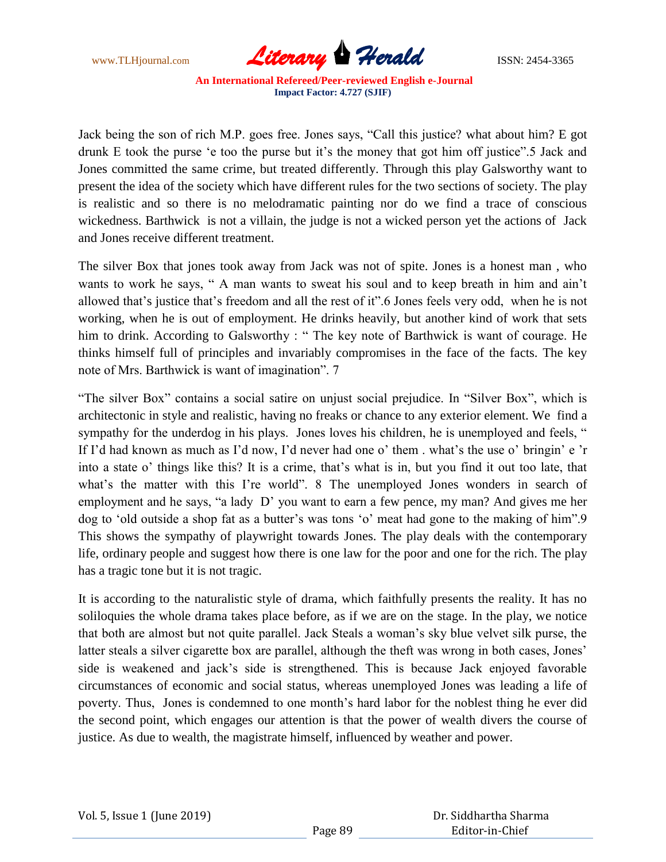

Jack being the son of rich M.P. goes free. Jones says, "Call this justice? what about him? E got drunk E took the purse 'e too the purse but it's the money that got him off justice".5 Jack and Jones committed the same crime, but treated differently. Through this play Galsworthy want to present the idea of the society which have different rules for the two sections of society. The play is realistic and so there is no melodramatic painting nor do we find a trace of conscious wickedness. Barthwick is not a villain, the judge is not a wicked person yet the actions of Jack and Jones receive different treatment.

The silver Box that jones took away from Jack was not of spite. Jones is a honest man , who wants to work he says, " A man wants to sweat his soul and to keep breath in him and ain"t allowed that"s justice that"s freedom and all the rest of it".6 Jones feels very odd, when he is not working, when he is out of employment. He drinks heavily, but another kind of work that sets him to drink. According to Galsworthy : " The key note of Barthwick is want of courage. He thinks himself full of principles and invariably compromises in the face of the facts. The key note of Mrs. Barthwick is want of imagination". 7

"The silver Box" contains a social satire on unjust social prejudice. In "Silver Box", which is architectonic in style and realistic, having no freaks or chance to any exterior element. We find a sympathy for the underdog in his plays. Jones loves his children, he is unemployed and feels, " If I'd had known as much as I'd now, I'd never had one o' them . what's the use o' bringin' e 'r into a state o" things like this? It is a crime, that"s what is in, but you find it out too late, that what's the matter with this I're world". 8 The unemployed Jones wonders in search of employment and he says, "a lady D" you want to earn a few pence, my man? And gives me her dog to 'old outside a shop fat as a butter's was tons 'o' meat had gone to the making of him". 9 This shows the sympathy of playwright towards Jones. The play deals with the contemporary life, ordinary people and suggest how there is one law for the poor and one for the rich. The play has a tragic tone but it is not tragic.

It is according to the naturalistic style of drama, which faithfully presents the reality. It has no soliloquies the whole drama takes place before, as if we are on the stage. In the play, we notice that both are almost but not quite parallel. Jack Steals a woman"s sky blue velvet silk purse, the latter steals a silver cigarette box are parallel, although the theft was wrong in both cases, Jones' side is weakened and jack"s side is strengthened. This is because Jack enjoyed favorable circumstances of economic and social status, whereas unemployed Jones was leading a life of poverty. Thus, Jones is condemned to one month"s hard labor for the noblest thing he ever did the second point, which engages our attention is that the power of wealth divers the course of justice. As due to wealth, the magistrate himself, influenced by weather and power.